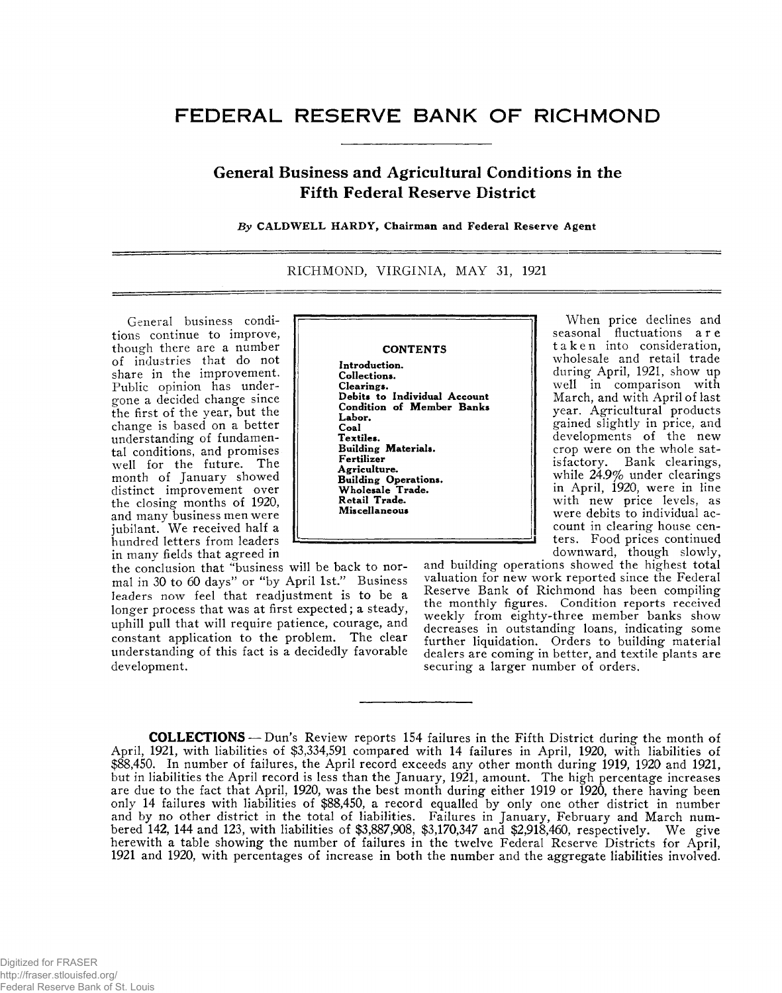# FEDERAL RESERVE BANK OF RICHMOND

## **General Business and Agricultural Conditions in the Fifth Federal Reserve District**

#### *By* **CALDWELL HARDY, Chairman and Federal Reserve Agent**

RICHMOND, VIRGINIA, MAY 31, 1921

General business conditions continue to improve, though there are a number of industries that do not share in the improvement. Public opinion has undergone a decided change since the first of the year, but the change is based on a better understanding of fundamental conditions, and promises well for the future. The month of January showed distinct improvement over the closing months of 1920, and many business men were jubilant. We received half a hundred letters from leaders in many fields that agreed in

the conclusion that "business will be back to normal in 30 to 60 days" or "by April 1st." Business leaders now feel that readjustment is to be a longer process that was at first expected; a steady, uphill pull that will require patience, courage, and constant application to the problem. The clear understanding of this fact is a decidedly favorable development.

**CONTENTS** Introduction. Collections. Clearings. Debits to Individual Account Condition of Member Banks Labor. Coal Textiles. Building Materials. Fertilizer Agriculture. Building Operations. W holesale Trade. Retail Trade. Miscellaneous

When price declines and seasonal fluctuations are taken into consideration, wholesale and retail trade during April, 1921, show up well in comparison with March, and with April of last year. Agricultural products gained slightly in price, and developments of the new crop were on the whole satisfactory. Bank clearings, while 24.9% under clearings in April, 1920, were in line with new price levels, as were debits to individual account in clearing house centers. Food prices continued downward, though slowly,

and building operations showed the highest total valuation for new work reported since the Federal Reserve Bank of Richmond has been compiling the monthly figures. Condition reports received weekly from eighty-three member banks show decreases in outstanding loans, indicating some further liquidation. Orders to building material dealers are coming in better, and textile plants are securing a larger number of orders.

**COLLECTIONS** — Dun's Review reports 154 failures in the Fifth District during the month of April, 1921, with liabilities of \$3,334,591 compared with 14 failures in April, 1920, with liabilities of \$88,450. In number of failures, the April record exceeds any other month during 1919, 1920 and 1921, but in liabilities the April record is less than the January, 1921, amount. The high percentage increases are due to the fact that April, 1920, was the best month during either 1919 or 1920, there having been only 14 failures with liabilities of \$88,450, a record equalled by only one other district in number and by no other district in the total of liabilities. Failures in January, February and March numbered 142, 144 and 123, with liabilities of \$3,887,908, \$3,170,347 and \$2,918,460, respectively. We give herewith a table showing the number of failures in the twelve Federal Reserve Districts for April, 1921 and 1920, with percentages of increase in both the number and the aggregate liabilities involved.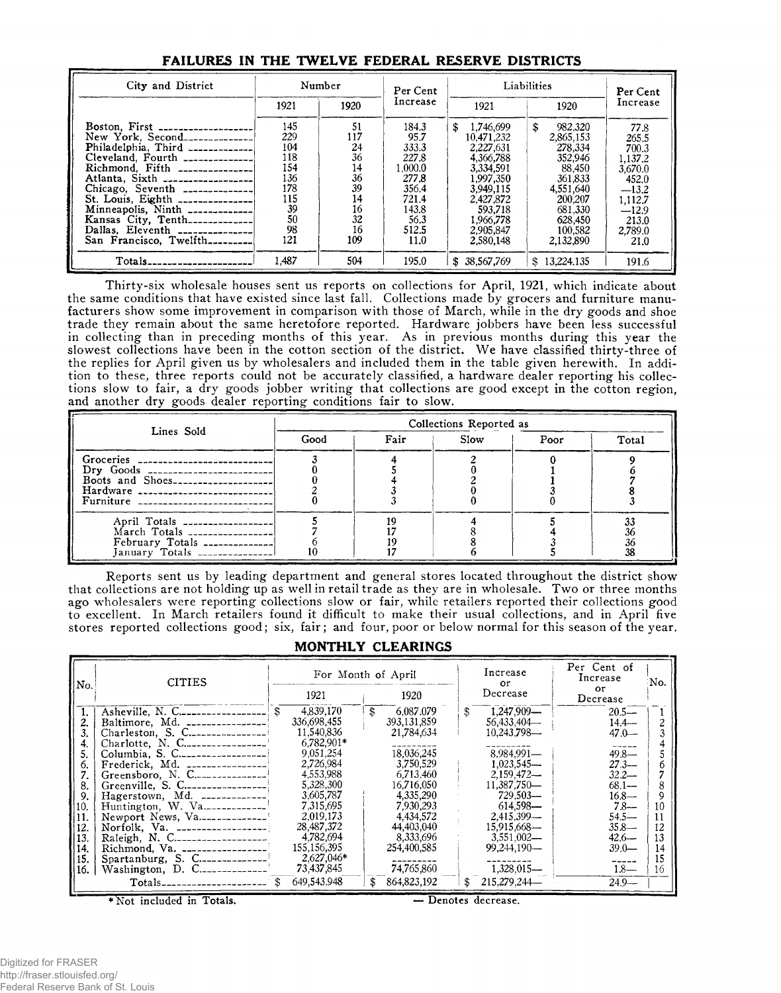| City and District                                                                                                                                                                                                                                                                                                                                                                                                         |                                                                               | Number                                                                 | Per Cent                                                                                                | Liabilities                                                                                                                                                  | Per Cent                                                                                                                                    |                                                                                                                    |  |
|---------------------------------------------------------------------------------------------------------------------------------------------------------------------------------------------------------------------------------------------------------------------------------------------------------------------------------------------------------------------------------------------------------------------------|-------------------------------------------------------------------------------|------------------------------------------------------------------------|---------------------------------------------------------------------------------------------------------|--------------------------------------------------------------------------------------------------------------------------------------------------------------|---------------------------------------------------------------------------------------------------------------------------------------------|--------------------------------------------------------------------------------------------------------------------|--|
|                                                                                                                                                                                                                                                                                                                                                                                                                           | 1921                                                                          | 1920                                                                   | Increase                                                                                                | 1921                                                                                                                                                         | 1920                                                                                                                                        | Increase                                                                                                           |  |
| Boston, First ___________________<br>New York, Second<br>Philadelphia, Third _____________<br>$C level and. Fourth$ $------$<br>Richmond, Fifth ______________<br>Atlanta. Sixth __________________<br>Chicago, Seventh _______________<br>St. Louis, Eighth _______________<br>Minneapolis, Ninth _____________<br>Kansas City, Tenth_____________<br>Dallas. Eleventh ______________<br>San Francisco, Twelfth_________ | 145<br>229<br>104<br>118<br>154<br>136<br>178<br>115<br>39<br>50<br>98<br>121 | 51<br>117<br>24<br>36<br>14<br>36<br>39<br>14<br>16<br>32<br>16<br>109 | 184.3<br>95.7<br>333.3<br>227.8<br>1.000.0<br>277.8<br>356.4<br>721.4<br>143.8<br>56.3<br>512.5<br>11.0 | 1,746,699<br>S<br>10,471,232<br>2,227,631<br>4.366.788<br>3.334.591<br>1,997,350<br>3.949.115<br>2,427,872<br>593,718<br>1.966.778<br>2.905,847<br>2.580.148 | \$<br>982.320<br>2,865.153<br>278,334<br>352,946<br>88,450<br>361,833<br>4,551,640<br>200.207<br>681.330<br>628.450<br>100.582<br>2.132.890 | 77.8<br>265.5<br>700.3<br>1,137.2<br>3.670.0<br>452.0<br>$-13.2$<br>1.112.7<br>$-12.9$<br>213.0<br>2.789.0<br>21.0 |  |
| Totals <sub>--</sub>                                                                                                                                                                                                                                                                                                                                                                                                      | 1,487                                                                         | 504                                                                    | 195.0                                                                                                   | \$38,567,769                                                                                                                                                 | 13.224.135<br>S                                                                                                                             | 191.6                                                                                                              |  |

#### **FAILURES IN THE TWELVE FEDERAL RESERVE DISTRICTS**

Thirty-six wholesale houses sent us reports on collections for April, 1921, which indicate about the same conditions that have existed since last fall. Collections made by grocers and furniture manufacturers show some improvement in comparison with those of March, while in the dry goods and shoe trade they remain about the same heretofore reported. Hardware jobbers have been less successful in collecting than in preceding months of this year. As in previous months during this year the slowest collections have been in the cotton section of the district. We have classified thirty-three of the replies for April given us by wholesalers and included them in the table given herewith. In addition to these, three reports could not be accurately classified, a hardware dealer reporting his collections slow to fair, a dry goods jobber writing that collections are good except in the cotton region, and another dry goods dealer reporting conditions fair to slow.

| Lines Sold                                                                              | Collections Reported as |      |      |      |          |  |  |  |  |  |
|-----------------------------------------------------------------------------------------|-------------------------|------|------|------|----------|--|--|--|--|--|
|                                                                                         | Good                    | Fair | Slow | Poor | Total    |  |  |  |  |  |
| Dry Goods __________________________<br>Boots and Shoes--------------------<br>Hardware |                         |      |      |      |          |  |  |  |  |  |
| March Totals<br>February Totals ______________<br>January Totals ---------------        |                         |      |      |      | 36<br>38 |  |  |  |  |  |

Reports sent us by leading department and general stores located throughout the district show that collections are not holding up as well in retail trade as they are in wholesale. Two or three months ago wholesalers were reporting collections slow or fair, while retailers reported their collections good to excellent. In March retailers found it difficult to make their usual collections, and in April five stores reported collections good; six, fair; and four, poor or below normal for this season of the year.

### **MONTHLY CLEARINGS**

| No.             | <b>CITIES</b>                             |    | For Month of April |    |             | Increase<br>or<br>Decrease |                | Per Cent of<br>Increase<br>$\alpha$ r | No. |
|-----------------|-------------------------------------------|----|--------------------|----|-------------|----------------------------|----------------|---------------------------------------|-----|
|                 |                                           |    | 1921               |    | 1920        |                            |                | Decrease                              |     |
|                 |                                           | \$ | 4.839.170          | \$ | 6.087.079   | S.                         | $1.247.909 -$  | $20.5-$                               |     |
|                 | Baltimore, Md. ________________           |    | 336,698,455        |    | 393,131,859 |                            | 56,433,404     | $14.4-$                               |     |
|                 | Charleston, S. $C_{\text{---}}$           |    | 11.540.836         |    | 21,784,634  |                            | $10.243.798 -$ | $47.0 -$                              |     |
|                 |                                           |    | 6.782.901*         |    |             |                            |                |                                       |     |
|                 | Columbia, S. $C_{\text{2}}$               |    | 9.051,254          |    | 18.036.245  |                            | 8.984.991-     | $49.8 -$                              |     |
|                 | Frederick, Md. ________________           |    | 2,726,984          |    | 3.750,529   |                            | $1.023.545-$   | $27.3 -$                              |     |
|                 | Greensboro, N. $C_{\text{max}}$           |    | 4,553,988          |    | 6.713.460   |                            | $2.159.472-$   | $32.2-$                               |     |
| 8.              |                                           |    | 5.328.300          |    | 16,716,050  |                            | 11,387.750-    | $68.1 -$                              |     |
| 9.              | Hagerstown, Md. $------$                  |    | 3,605,787          |    | 4.335.290   |                            | $729.503-$     | $16.8-$                               |     |
| 10.             | Huntington, W. Va                         |    | 7.315.695          |    | 7.930.293   |                            | 614.598-       | $7.8-$                                | 10  |
|                 | Newport News, $Va_{\{-1,1,2,2,3,4,5,6\}}$ |    | 2,019,173          |    | 4.434.572   |                            | $2,415,399-$   | $54.5-$                               |     |
| $\frac{11}{12}$ | Norfolk, Va. $-$ ------------------       |    | 28,487,372         |    | 44,403,040  |                            | $15.915.668-$  | $35.8-$                               | 12  |
| $\parallel$ 13. |                                           |    | 4,782,694          |    | 8.333.696   |                            | $3.551.002-$   | $42.6 -$                              | 13  |
| 14.             | Richmond, Va. _________________           |    | 155, 156, 395      |    | 254,400,585 |                            | 99.244.190-    | $39.0-$                               | 14  |
| $\parallel$ 15. | Spartanburg, S. $C_{\text{---}}$          |    | 2,627,046*         |    |             |                            |                |                                       | 15  |
| ll 16.          | Washington, D. $C_{\text{---}}$           |    | 73,437,845         |    | 74,765,860  |                            | 1,328,015-     | $1.8-$                                | 16  |
|                 | $Totals$ --------------                   |    | 649.543.948        | \$ | 864.823.192 | \$                         | 215.279.244-   | $24.9-$                               |     |

**\* Not included in Totals. — Denotes decrease.**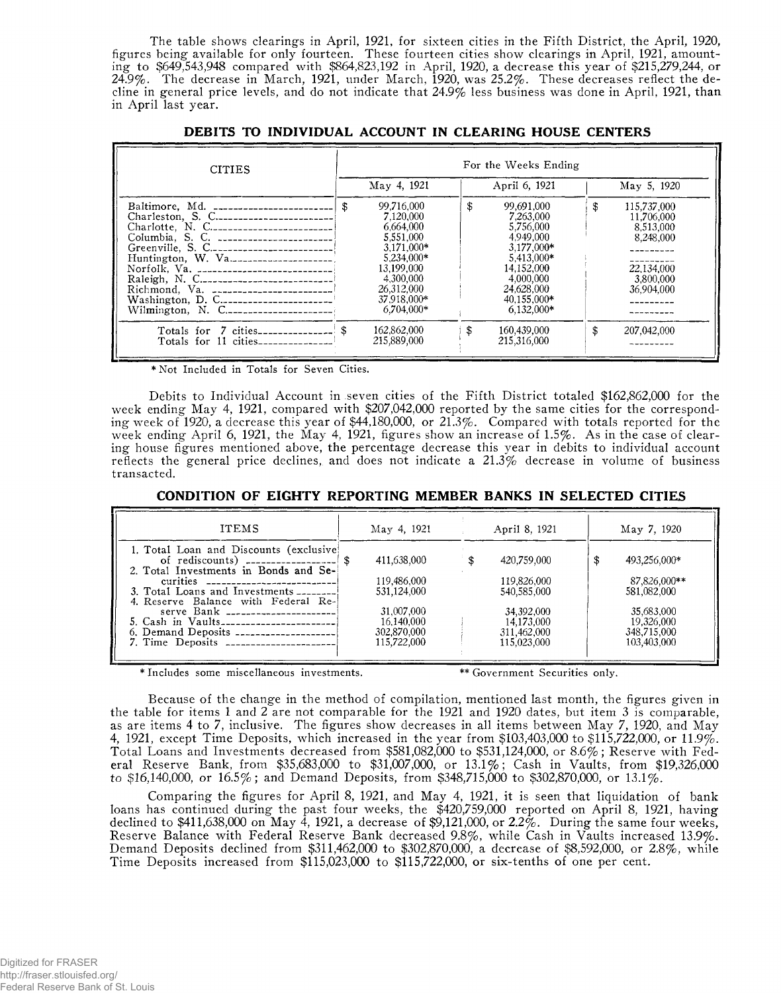The table shows clearings in April, 1921, for sixteen cities in the Fifth District, the April, 1920, figures being available for only fourteen. These fourteen cities show clearings in April, 1921, amounting to \$649,543,948 compared with \$864,823,192 in April, 1920, a decrease this year of \$215,279,244, or 24.9%. The decrease in March, 1921, under March, 1920, was 25.2%. These decreases reflect the decline in general price levels, and do not indicate that  $24.9\%$  less business was done in April, 1921, than in April last year.

|  |  |  | DEBITS TO INDIVIDUAL ACCOUNT IN CLEARING HOUSE CENTERS |  |
|--|--|--|--------------------------------------------------------|--|
|--|--|--|--------------------------------------------------------|--|

| <b>CITIES</b>                                                                                                                                                                       | For the Weeks Ending                                                                                                                                          |                                                                                                                                                             |                                                                                                    |  |  |  |  |  |
|-------------------------------------------------------------------------------------------------------------------------------------------------------------------------------------|---------------------------------------------------------------------------------------------------------------------------------------------------------------|-------------------------------------------------------------------------------------------------------------------------------------------------------------|----------------------------------------------------------------------------------------------------|--|--|--|--|--|
|                                                                                                                                                                                     | May 4, 1921                                                                                                                                                   | April 6, 1921                                                                                                                                               | May 5, 1920                                                                                        |  |  |  |  |  |
| Baltimore, Md. ______________________<br>Charleston, S. C<br>Charlotte, N. C<br>Columbia, S. C.<br>Greenville, S. C<br>Huntington, W. Va.<br>Richmond, Va. ------------------------ | 99.716.000<br>\$<br>7.120,000<br>6.664.000<br>5.551.000<br>$3.171.000*$<br>5.234,000*<br>13,199,000<br>4.300.000<br>26,312,000<br>37.918.000*<br>$6.704.000*$ | \$<br>99,691,000<br>7.263.000<br>5,756,000<br>4.949.000<br>3.177.000*<br>5.413,000*<br>14,152,000<br>4.000.000<br>24,628,000<br>40,155,000*<br>$6.132.000*$ | \$<br>115.737.000<br>11.706.000<br>8.513.000<br>8.248.000<br>22.134.000<br>3.800.000<br>36,904,000 |  |  |  |  |  |
| Totals for $\overline{7}$ cities<br>Totals for 11 cities---------------                                                                                                             | 162,862,000<br>215,889,000                                                                                                                                    | \$<br>160.439,000<br>215,316,000                                                                                                                            | \$<br>207,042,000                                                                                  |  |  |  |  |  |

\* Not Included in Totals for Seven Cities.

Debits to Individual Account in seven cities of the Fifth District totaled \$162,862,000 for the week ending May 4, 1921, compared with \$207,042,000 reported by the same cities for the corresponding week of 1920, a decrease this year of \$44,180,000, or 21.3%. Compared with totals reported for the week ending April 6, 1921, the May 4, 1921, figures show an increase of 1.5%. As in the case of clearing house figures mentioned above, the percentage decrease this year in debits to individual account reflects the general price declines, and does not indicate a 21.3% decrease in volume of business transacted.

**CONDITION OF EIGHTY REPORTING MEMBER BANKS IN SELECTED CITIES**

| <b>ITEMS</b>                                                                                                                                                                                                                                                                                | May 4, 1921                |                                         | April 8, 1921                                                         | May 7, 1920                                                                   |
|---------------------------------------------------------------------------------------------------------------------------------------------------------------------------------------------------------------------------------------------------------------------------------------------|----------------------------|-----------------------------------------|-----------------------------------------------------------------------|-------------------------------------------------------------------------------|
| 1. Total Loan and Discounts (exclusive)<br>2. Total Investments in Bonds and Se-<br>curities<br>------------------------<br>3. Total Loans and Investments ________<br>4. Reserve Balance with Federal Re-<br>serve Bank _______________________<br>5. Cash in Vaults---------------------- | 411,638,000<br>531.124,000 | 119.486.000<br>31.007.000<br>16.140.000 | 420,759,000<br>119,826,000<br>540.585.000<br>34,392,000<br>14.173.000 | \$<br>493,256,000*<br>87,826,000**<br>581,082,000<br>35.683.000<br>19,326,000 |
| 6. Demand Deposits ___________________<br>7. Time Deposits _____________________                                                                                                                                                                                                            | 302,870,000<br>115,722,000 |                                         | 311.462,000<br>115.023.000                                            | 348,715,000<br>103,403,000                                                    |

\* Includes some miscellaneous investments. \*\* Government Securities only.

Because of the change in the method of compilation, mentioned last month, the figures given in the table for items 1 and 2 are not comparable for the 1921 and 1920 dates, but item 3 is comparable, as are items 4 to 7, inclusive. The figures show decreases in all items between May 7, 1920, and May 4, 1921, except Time Deposits, which increased in the year from \$103,403,000 to \$115,722,000, or 11.9%. Total Loans and Investments decreased from \$581,082,000 to \$531,124,000, or 8.6%; Reserve with Federal Reserve Bank, from \$35,683,000 to \$31,007,000, or 13.1%; Cash in Vaults, from \$19,326,000 to \$16,140,000, or 16.5%; and Demand Deposits, from \$348,715,000 to \$302,870,000, or 13.1%.

Comparing the figures for April 8, 1921, and May 4, 1921, it is seen that liquidation of bank loans has continued during the past four weeks, the \$420,759,000 reported on April 8, 1921, having declined to \$411,638,000 on May 4, 1921, a decrease of \$9,121,000, or  $2.2\%$ . During the same four weeks, Reserve Balance with Federal Reserve Bank decreased 9.8%, while Cash in Vaults increased 13.9%. Demand Deposits declined from \$311,462,000 to \$302,870,000, a decrease of \$8,592,000, or 2.8%, while Time Deposits increased from \$115,023,000 to \$115,722,000, or six-tenths of one per cent.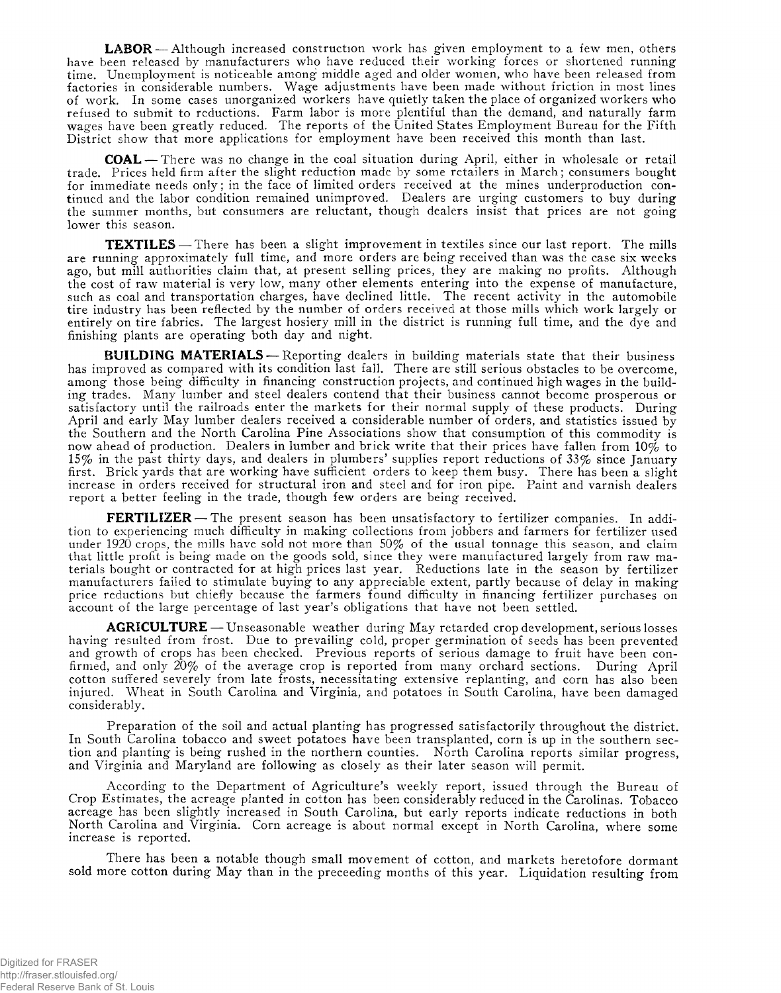**LABOR** — Although increased construction work has given employment to a few men, others have been released by manufacturers who have reduced their working forces or shortened running time. Unemployment is noticeable among middle aged and older women, who have been released from factories in considerable numbers. Wage adjustments have been made without friction in most lines of work. In some cases unorganized workers have quietly taken the place of organized workers who refused to submit to reductions. Farm labor is more plentiful than the demand, and naturally farm wages have been greatly reduced. The reports of the United States Employment Bureau for the Fifth District show that more applications for employment have been received this month than last.

**COAL** — There was no change in the coal situation during April, either in wholesale or retail trade. Prices held firm after the slight reduction made by some retailers in March; consumers bought for immediate needs only; in the face of limited orders received at the mines underproduction continued and the labor condition remained unimproved. Dealers are urging customers to buy during the summer months, but consumers are reluctant, though dealers insist that prices are not going lower this season.

**TEXTILES** — There has been a slight improvement in textiles since our last report. The mills are running approximately full time, and more orders are being received than was the case six weeks ago, but mill authorities claim that, at present selling prices, they are making no profits. Although the cost of raw material is very low, many other elements entering into the expense of manufacture, such as coal and transportation charges, have declined little. The recent activity in the automobile tire industry has been reflected by the number of orders received at those mills which work largely or entirely on tire fabrics. The largest hosiery mill in the district is running full time, and the dye and finishing plants are operating both day and night.

**BUILDING MATERIALS** — Reporting dealers in building materials state that their business has improved as compared with its condition last fall. There are still serious obstacles to be overcome, among those being difficulty in financing construction projects, and continued high wages in the building trades. Many lumber and steel dealers contend that their business cannot become prosperous or satisfactory until the railroads enter the markets for their normal supply of these products. During April and early May lumber dealers received a considerable number of orders, and statistics issued by the Southern and the North Carolina Pine Associations show that consumption of this commodity is now ahead of production. Dealers in lumber and brick write that their prices have fallen from 10% to 15% in the past thirty days, and dealers in plumbers' supplies report reductions of 33% since January first. Brick yards that are working have sufficient orders to keep them busy. There has been a slight increase in orders received for structural iron and steel and for iron pipe. Paint and varnish dealers report a better feeling in the trade, though few orders are being received.

**FERTILIZER** — The present season has been unsatisfactory to fertilizer companies. In addition to experiencing much difficulty in making collections from jobbers and farmers for fertilizer used under 1920 crops, the mills have sold not more than  $50\%$  of the usual tonnage this season, and claim that little profit is being made on the goods sold, since they were manufactured largely from raw materials bought or contracted for at high prices last year. Reductions late in the season by fertilizer manufacturers failed to stimulate buying to any appreciable extent, partly because of delay in making price reductions but chiefly because the farmers found difficulty in financing fertilizer purchases on account of the large percentage of last year's obligations that have not been settled.

**AGRICULTURE** — Unseasonable weather during May retarded crop development, serious losses having resulted from frost. Due to prevailing cold, proper germination of seeds has been prevented and growth of crops has been checked. Previous reports of serious damage to fruit have been confirmed, and only 20% of the average crop is reported from many orchard sections. During April cotton suffered severely from late frosts, necessitating extensive replanting, and corn has also been injured. Wheat in South Carolina and Virginia, and potatoes in South Carolina, have been damaged considerably.

Preparation of the soil and actual planting has progressed satisfactorily throughout the district. In South Carolina tobacco and sweet potatoes have been transplanted, corn is up in the southern section and planting is being rushed in the northern counties. North Carolina reports similar progress, and Virginia and Maryland are following as closely as their later season will permit.

According to the Department of Agriculture's weekly report, issued through the Bureau of Crop Estimates, the acreage planted in cotton has been considerably reduced in the Carolinas. Tobacco acreage has been slightly increased in South Carolina, but early reports indicate reductions in both North Carolina and Virginia. Corn acreage is about normal except in North Carolina, where some increase is reported.

There has been a notable though small movement of cotton, and markets heretofore dormant sold more cotton during May than in the preceeding months of this year. Liquidation resulting from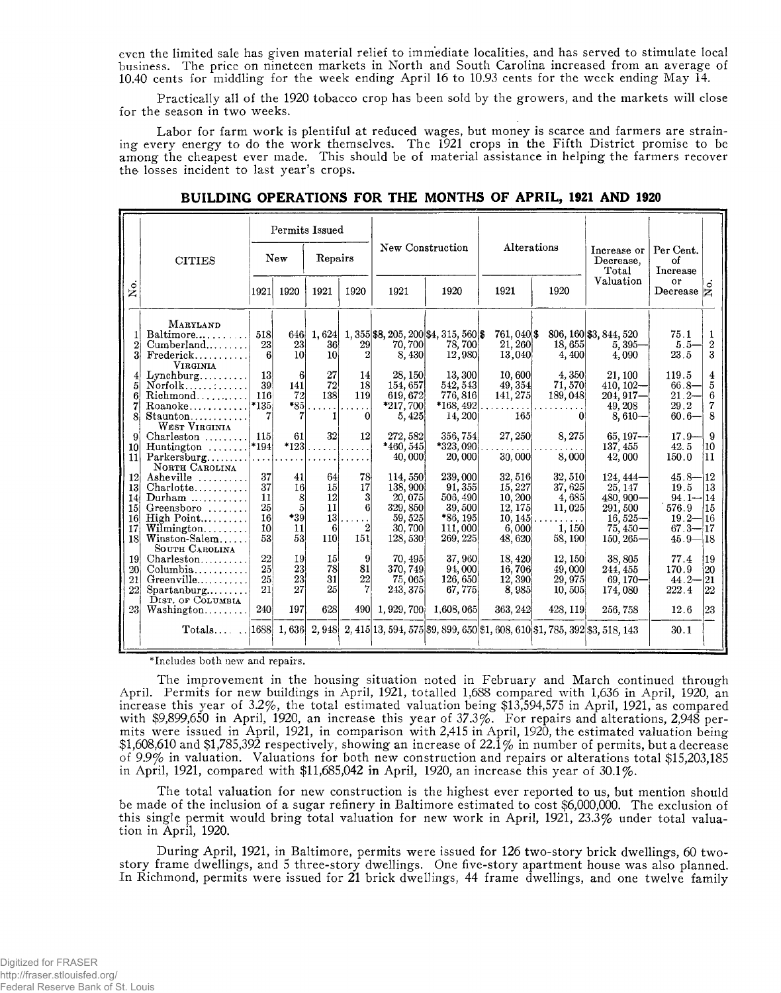even the limited sale has given material relief to immediate localities, and has served to stimulate local business. The price on nineteen markets in North and South Carolina increased from an average of 10.40 cents for middling for the week ending April 16 to 10.93 cents for the week ending May 14.

Practically all of the 1920 tobacco crop has been sold by the growers, and the markets will close for the season in two weeks.

Labor for farm work is plentiful at reduced wages, but money is scarce and farmers are straining every energy to do the work themselves. The 1921 crops in the Fifth District promise to be among the cheapest ever made. This should be of material assistance in helping the farmers recover the losses incident to last year's crops.

|                                          |                                                                |                                                            | Permits Issued        |                        |                                   |                                   |                                       |                               |                              |                                                                                   |                                  |                       |
|------------------------------------------|----------------------------------------------------------------|------------------------------------------------------------|-----------------------|------------------------|-----------------------------------|-----------------------------------|---------------------------------------|-------------------------------|------------------------------|-----------------------------------------------------------------------------------|----------------------------------|-----------------------|
|                                          | <b>CITIES</b>                                                  |                                                            | New                   | Repairs                |                                   |                                   | New Construction                      | Alterations                   |                              | Per Cent.<br>Increase or<br>Decrease,<br>οf<br>Total<br>Increase                  |                                  |                       |
| Σó.                                      |                                                                | 1921                                                       | 1920                  | 1921                   | 1920                              | 1921                              | 1920                                  | 1921                          | 1920                         | Valuation                                                                         | or<br>Decrease $ \bar{z} $       | $\circ$               |
|                                          | MARYLAND<br>Baltimore                                          | 518                                                        | 646                   | 1,624                  |                                   |                                   | 1, 355 \$8, 205, 200 \$4, 315, 560 \$ | 761,040 \$                    |                              | 806, 160 \$3, 844, 520                                                            | 75.1                             | 1                     |
| 2<br>$\mathbf{a}$                        | $Cumberland$<br>Frederick<br><b>VIRGINIA</b>                   | 23<br>6 <sup>1</sup>                                       | 23<br>10 <sup>1</sup> | 36<br>10 <sub>1</sub>  | 29 <sub>l</sub><br>$\overline{2}$ | 70,700<br>8,430                   | 78,700<br>12,980                      | 21, 260<br>13,040             | 18,655<br>4,400              | $5,395-$<br>4,090                                                                 | $5.5-$<br>23.5                   | $\boldsymbol{2}$<br>3 |
| 51<br>6                                  | Lynchburg<br>$N$ orfolk<br>Richmond                            | -13<br>39<br>116                                           | 6<br>141<br>72        | 27<br>72<br><b>138</b> | 14<br><b>18</b><br><b>119</b>     | 28, 150<br>154, 657<br>619, 672   | 13,300<br>542, 543<br>776, 816        | 10,600<br>49.354<br>141, 275  | 4,350<br>71, 570<br>189,048  | 21, 100<br>$410, 102-$<br>$204, 917-$                                             | 119.5<br>$66.8 -$<br>$21.2 -$    | 4<br>5<br>6           |
| 8                                        | Staunton<br>WEST VIRGINIA                                      |                                                            | $*85$<br>7            | 1                      | $\vert$ 0                         | $*217,700$<br>5,425               | $*168,492$<br>14, 200                 | . 1<br>165                    | $\vert 0 \vert$              | 49.208<br>$8,610-$                                                                | 29.2<br>$60.6 -$                 | 7<br>8                |
| 9<br>10 <sup>1</sup>                     | Charleston $\dots \dots \dots \dots$ 115<br>Huntington         | $ *194 $                                                   | 61<br>*123            | 32                     | 12 <sup>1</sup>                   | 272, 582<br>$*460, 545$<br>40,000 | 356, 754<br>$*323,090$<br>20,000      | 27, 250<br>30,000             | 8,275<br>8,000               | $65, 197-$<br>137, 455<br>42,000                                                  | $17.9-$<br>42.5<br>150.0         | 9<br>10<br>'11        |
| 12 <sup>1</sup><br>13 <sup>1</sup>       | NORTH CAROLINA<br>Asheville $\dots\dots$<br>$Charlotte \ldots$ | 37<br>37                                                   | 41<br>16              | 64<br>15 <sup>1</sup>  | 78<br>17                          | 114, 550<br>138, 900              | 239,000<br>91, 355                    | 32, 516<br>15, 227            | 32,510<br>37, 625            | $124.444-$<br>25.147                                                              | $45.8 -$<br>19.5                 | 112<br>13             |
| 14<br>15 <sup>1</sup><br>16 <sup>l</sup> | Durham $\dots \dots$<br>Greensboro $\dots \dots$<br>High Point | 11<br>25<br>16 <sup>1</sup>                                | 8<br>5<br>$*39$       | 12<br>11<br>13         | 3<br>6                            | 20, 075<br>329, 850<br>59, 525    | 506, 490<br>39,500<br>$*86, 195$      | 10, 200<br>12, 175<br>10, 145 | 4,685<br>11,025              | $480,900-$<br>291.500<br>$16,525-$                                                | $94.1 -$<br>576.9<br>$19.2 - 16$ | 14<br>15              |
| 17 <sup>1</sup><br>18 <sup>l</sup>       | Wilmington<br>Winston-Salem<br>SOUTH CAROLINA                  | 10 <sup>1</sup><br>53                                      | 11<br>53              | $6 \times$<br>110      | $\overline{2}$<br>151             | 30,700<br>128, 530                | 111,000<br>269, 225                   | 6,000<br>48,620               | 1,150<br>58, 190             | $75,450-$<br>$150.265 -$                                                          | $67.3 - 17$<br>$45.9 - 18$       |                       |
| 19<br><b>20</b><br>21                    | Charleston<br>$Columbia$<br>Greenville                         | $\begin{array}{c} 22 \\ 25 \end{array}$<br>25 <sup>1</sup> | 19<br>23<br>23        | 15<br>78<br>31         | 9<br>81<br>22                     | 70, 495<br>370, 749<br>75,065     | 37.960<br>94,000<br>126, 650          | 18,420<br>16,706<br>12,390    | 12, 150<br>49,000<br>29, 975 | 38, 805<br>244, 455<br>$69.170 -$                                                 | 77.4<br>170.9<br>$44.2-$         | 19<br>120<br>21       |
| 22<br>23 <sup>1</sup>                    | Spartanburg<br>DIST. OF COLUMBIA<br>Washington                 | 21<br>240                                                  | 27<br>197             | 25<br>628              | 7<br>490                          | 243, 375<br>1, 929, 700           | 67, 775<br>1,608,065                  | 8,985<br>363, 242             | 10,505<br>428, 119           | 174,080<br>256,758                                                                | 222.4<br>12.6                    | 22<br>23              |
|                                          | $Totals$ 1688                                                  |                                                            | 1,636                 |                        |                                   |                                   |                                       |                               |                              | 2, 948 2, 415 13, 594, 575 39, 899, 650 \$1, 608, 610 \$1, 785, 392 \$3, 518, 143 | 30.1                             |                       |
|                                          | *Tachedes health was and sens                                  |                                                            |                       |                        |                                   |                                   |                                       |                               |                              |                                                                                   |                                  |                       |

#### **BUILDING OPERATIONS FOR THE MONTHS OF APRIL, 1921 AND 1920**

Includes both new and repairs.

The improvement in the housing situation noted in February and March continued through April. Permits for new buildings in April, 1921, totalled 1,688 compared with 1,636 in April, 1920, an increase this year of 3.2%, the total estimated valuation being \$13,594,575 in April, 1921, as compared with \$9,899,650 in April, 1920, an increase this year of 37.3%. For repairs and alterations, 2,948 permits were issued in April, 1921, in comparison with 2,415 in April, 1920, the estimated valuation being \$1,608,610 and \$1,785,392 respectively, showing an increase of 22.1% in number of permits, but a decrease of 9.9% in valuation. Valuations for both new construction and repairs or alterations total \$15,203,185 in April, 1921, compared with \$11,685,042 in April, 1920, an increase this year of 30.1%.

The total valuation for new construction is the highest ever reported to us, but mention should be made of the inclusion of a sugar refinery in Baltimore estimated to cost \$6,000,000. The exclusion of this single permit would bring total valuation for new work in April, 1921, 23.3% under total valuation in April, 1920.

During April, 1921, in Baltimore, permits were issued for 126 two-story brick dwellings, 60 twostory frame dwellings, and 5 three-story dwellings. One five-story apartment house was also planned. In Richmond, permits were issued for 21 brick dwellings, 44 frame dwellings, and one twelve family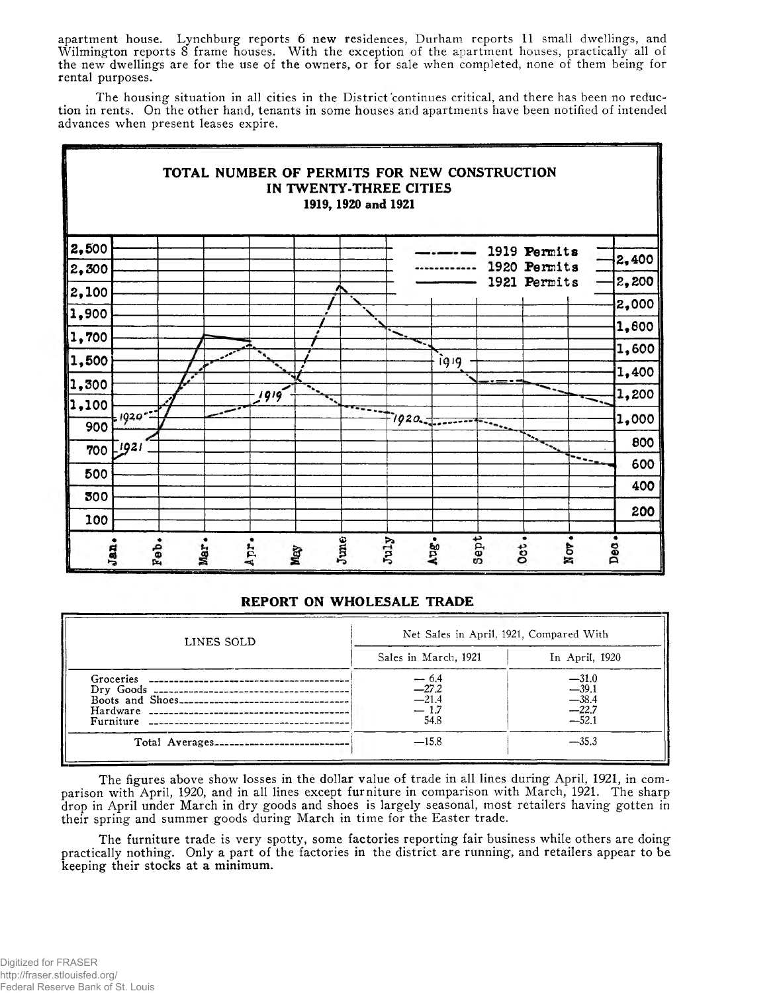apartment house. Lynchburg reports 6 new residences, Durham reports 11 small dwellings, and Wilmington reports 8 frame houses. With the exception of the apartment houses, practically all of the new dwellings are for the use of the owners, or for sale when completed, none of them being for rental purposes.

The housing situation in all cities in the District continues critical, and there has been no reduction in rents. On the other hand, tenants in some houses and apartments have been notified of intended advances when present leases expire.

|       |           |  |         | TOTAL NUMBER OF PERMITS FOR NEW CONSTRUCTION | 1919, 1920 and 1921 | IN TWENTY-THREE CITIES |      |      |              |     |       |
|-------|-----------|--|---------|----------------------------------------------|---------------------|------------------------|------|------|--------------|-----|-------|
| 2,500 |           |  |         |                                              |                     |                        |      |      | 1919 Permits |     |       |
| 2,300 |           |  |         |                                              |                     |                        |      |      | 1920 Permits |     | 2,400 |
| 2,100 |           |  |         |                                              |                     |                        |      |      | 1921 Permits |     | 2,200 |
| 1,900 |           |  |         |                                              |                     |                        |      |      |              |     | 2,000 |
| 1,700 |           |  |         |                                              |                     |                        |      |      |              |     | 1,800 |
| 1,500 |           |  |         |                                              |                     |                        | igig |      |              |     | 1,600 |
| 1,300 |           |  |         |                                              |                     |                        |      |      |              |     | 1,400 |
| 1,100 |           |  | $-1919$ |                                              |                     |                        |      |      |              |     | 1,200 |
| 900   | $.1920 -$ |  |         |                                              |                     | $-1920 -$              |      |      |              |     | 1,000 |
| 700   | -1921     |  |         |                                              |                     |                        |      |      |              |     | 800   |
| 500   |           |  |         |                                              |                     |                        |      |      |              | ∼~~ | 600   |
| 300   |           |  |         |                                              |                     |                        |      |      |              |     | 400   |
|       |           |  |         |                                              |                     |                        |      |      |              |     | 200   |
| 100   |           |  |         |                                              | June                |                        |      | Sept |              |     |       |

## **REPORT ON WHOLESALE TRADE**

| LINES SOLD                                                | Net Sales in April, 1921, Compared With       |                                                     |  |  |  |  |
|-----------------------------------------------------------|-----------------------------------------------|-----------------------------------------------------|--|--|--|--|
|                                                           | Sales in March, 1921                          | In April, 1920                                      |  |  |  |  |
| Groceries ----------------------------------<br>Furniture | $-6.4$<br>$-27.2$<br>$-21.4$<br>$-17$<br>54.8 | $-31.0$<br>$-39.1$<br>$-38.4$<br>$-22.7$<br>$-52.1$ |  |  |  |  |
| Total Averages                                            | $-15.8$                                       | $-35.3$                                             |  |  |  |  |

The figures above show losses in the dollar value of trade in all lines during April, 1921, in comparison with April, 1920, and in all lines except furniture in comparison with March, 1921. The sharp drop in April under March in dry goods and shoes is largely seasonal, most retailers having gotten in their spring and summer goods during March in time for the Easter trade.

The furniture trade is very spotty, some factories reporting fair business while others are doing practically nothing. Only a part of the factories in the district are running, and retailers appear to be keeping their stocks at a minimum.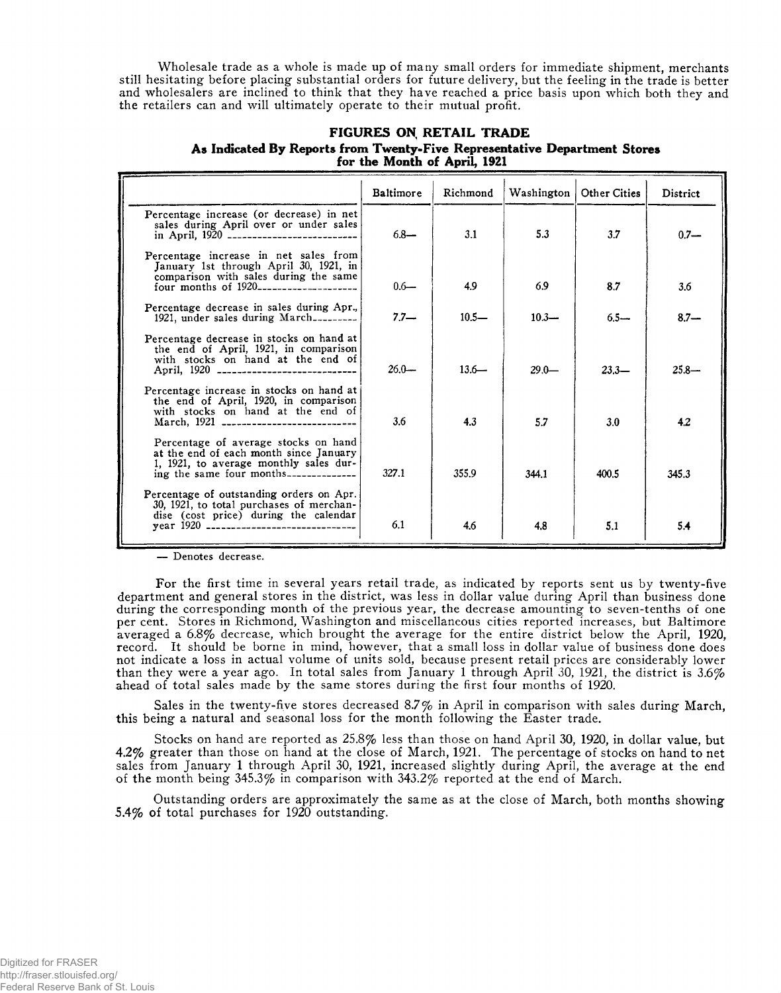Wholesale trade as a whole is made up of many small orders for immediate shipment, merchants still hesitating before placing substantial orders for future delivery, but the feeling in the trade is better and wholesalers are inclined to think that they have reached a price basis upon which both they and the retailers can and will ultimately operate to their mutual profit.

#### **FIGURES ON, RETAIL TRADE As Indicated By Reports from Twenty-Five Representative Department Stores for the Month of April, 1921**

|                                                                                                                                                                         | Baltimore | Richmond | Washington | <b>Other Cities</b> | District |
|-------------------------------------------------------------------------------------------------------------------------------------------------------------------------|-----------|----------|------------|---------------------|----------|
| Percentage increase (or decrease) in net<br>sales during April over or under sales<br>in April, 1920 ___________________________                                        | $6.8 -$   | 3.1      | 5.3        | 3.7                 | $0.7 -$  |
| Percentage increase in net sales from<br>January 1st through April 30, 1921, in<br>comparison with sales during the same<br>four months of $1920$ --------------------- | $0.6 -$   | 4.9      | 6.9        | 8.7                 | 3.6      |
| Percentage decrease in sales during Apr.,<br>$1921$ , under sales during March                                                                                          | $7.7 -$   | $10.5 -$ | $10.3 -$   | $6.5-$              | $8.7 -$  |
| Percentage decrease in stocks on hand at<br>the end of April, 1921, in comparison<br>with stocks on hand at the end of<br>April, 1920 -----------------------------     | $26.0-$   | $13.6-$  | $29.0 -$   | $23.3-$             | $25.8 -$ |
| Percentage increase in stocks on hand at<br>the end of April, 1920, in comparison<br>with stocks on hand at the end of                                                  | 3.6       | 4.3      | 5.7        | 3.0                 | 4.2      |
| Percentage of average stocks on hand<br>at the end of each month since January<br>1, 1921, to average monthly sales dur-<br>ing the same four months--------------      | 327.1     | 355.9    | 344.1      | 400.5               | 345.3    |
| Percentage of outstanding orders on Apr.<br>30, 1921, to total purchases of merchan-<br>dise (cost price) during the calendar                                           | 6.1       | 4.6      | 4.8        | 5.1                 | 5.4      |

**— Denotes decrease.**

For the first time in several years retail trade, as indicated by reports sent us by twenty-five department and general stores in the district, was less in dollar value during April than business done during the corresponding month of the previous year, the decrease amounting to seven-tenths of one per cent. Stores in Richmond, Washington and miscellaneous cities reported increases, but Baltimore averaged a 6.8% decrease, which brought the average for the entire district below the April, 1920, record. It should be borne in mind, however, that a small loss in dollar value of business done does not indicate a loss in actual volume of units sold, because present retail prices are considerably lower than they were a year ago. In total sales from January 1 through April 30, 1921, the district is 3.6% ahead of total sales made by the same stores during the first four months of 1920.

Sales in the twenty-five stores decreased 8.7% in April in comparison with sales during March, this being a natural and seasonal loss for the month following the Easter trade.

Stocks on hand are reported as 25.8% less than those on hand April 30, 1920, in dollar value, but 4.2% greater than those on hand at the close of March, 1921. The percentage of stocks on hand to net sales from January 1 through April 30, 1921, increased slightly during April, the average at the end of the month being 345.3% in comparison with 343.2% reported at the end of March.

Outstanding orders are approximately the same as at the close of March, both months showing 5.4% of total purchases for 1920 outstanding.